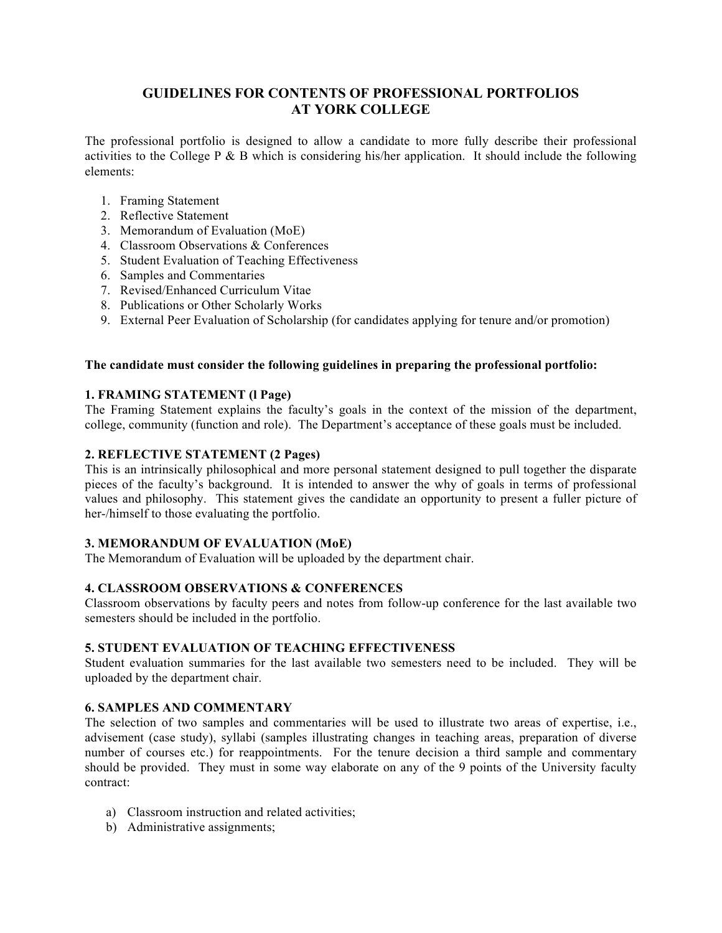# **GUIDELINES FOR CONTENTS OF PROFESSIONAL PORTFOLIOS AT YORK COLLEGE**

 The professional portfolio is designed to allow a candidate to more fully describe their professional activities to the College P & B which is considering his/her application. It should include the following elements:

- 1. Framing Statement
- 2. Reflective Statement
- 3. Memorandum of Evaluation (MoE)
- 4. Classroom Observations & Conferences
- 5. Student Evaluation of Teaching Effectiveness
- 6. Samples and Commentaries
- 7. Revised/Enhanced Curriculum Vitae
- 8. Publications or Other Scholarly Works
- 9. External Peer Evaluation of Scholarship (for candidates applying for tenure and/or promotion)

#### **The candidate must consider the following guidelines in preparing the professional portfolio:**

#### **1. FRAMING STATEMENT (l Page)**

 The Framing Statement explains the faculty's goals in the context of the mission of the department, college, community (function and role). The Department's acceptance of these goals must be included.

#### **2. REFLECTIVE STATEMENT (2 Pages)**

 This is an intrinsically philosophical and more personal statement designed to pull together the disparate pieces of the faculty's background. It is intended to answer the why of goals in terms of professional values and philosophy. This statement gives the candidate an opportunity to present a fuller picture of her-/himself to those evaluating the portfolio.

#### **3. MEMORANDUM OF EVALUATION (MoE)**

The Memorandum of Evaluation will be uploaded by the department chair.

#### **4. CLASSROOM OBSERVATIONS & CONFERENCES**

 Classroom observations by faculty peers and notes from follow-up conference for the last available two semesters should be included in the portfolio.

#### **5. STUDENT EVALUATION OF TEACHING EFFECTIVENESS**

 Student evaluation summaries for the last available two semesters need to be included. They will be uploaded by the department chair.

#### **6. SAMPLES AND COMMENTARY**

 The selection of two samples and commentaries will be used to illustrate two areas of expertise, i.e., number of courses etc.) for reappointments. For the tenure decision a third sample and commentary should be provided. They must in some way elaborate on any of the 9 points of the University faculty advisement (case study), syllabi (samples illustrating changes in teaching areas, preparation of diverse contract:

- a) Classroom instruction and related activities;
- b) Administrative assignments;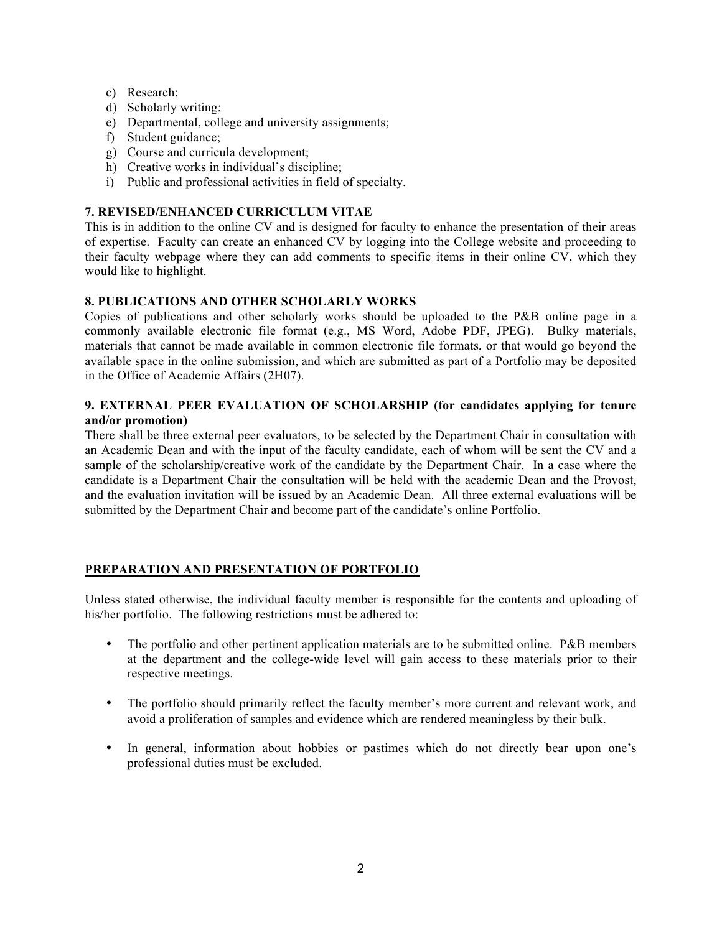- c) Research;
- d) Scholarly writing;
- e) Departmental, college and university assignments;
- f) Student guidance;
- g) Course and curricula development;
- h) Creative works in individual's discipline;
- i) Public and professional activities in field of specialty.

## **7. REVISED/ENHANCED CURRICULUM VITAE**

 This is in addition to the online CV and is designed for faculty to enhance the presentation of their areas of expertise. Faculty can create an enhanced CV by logging into the College website and proceeding to their faculty webpage where they can add comments to specific items in their online CV, which they would like to highlight.

# **8. PUBLICATIONS AND OTHER SCHOLARLY WORKS**

 Copies of publications and other scholarly works should be uploaded to the P&B online page in a commonly available electronic file format (e.g., MS Word, Adobe PDF, JPEG). Bulky materials, materials that cannot be made available in common electronic file formats, or that would go beyond the available space in the online submission, and which are submitted as part of a Portfolio may be deposited in the Office of Academic Affairs (2H07).

#### **9. EXTERNAL PEER EVALUATION OF SCHOLARSHIP (for candidates applying for tenure and/or promotion)**

 There shall be three external peer evaluators, to be selected by the Department Chair in consultation with sample of the scholarship/creative work of the candidate by the Department Chair. In a case where the candidate is a Department Chair the consultation will be held with the academic Dean and the Provost, and the evaluation invitation will be issued by an Academic Dean. All three external evaluations will be submitted by the Department Chair and become part of the candidate's online Portfolio. an Academic Dean and with the input of the faculty candidate, each of whom will be sent the CV and a

# **PREPARATION AND PRESENTATION OF PORTFOLIO**

 Unless stated otherwise, the individual faculty member is responsible for the contents and uploading of his/her portfolio. The following restrictions must be adhered to:

- The portfolio and other pertinent application materials are to be submitted online. P&B members at the department and the college-wide level will gain access to these materials prior to their respective meetings.
- • The portfolio should primarily reflect the faculty member's more current and relevant work, and avoid a proliferation of samples and evidence which are rendered meaningless by their bulk.
- • In general, information about hobbies or pastimes which do not directly bear upon one's professional duties must be excluded.